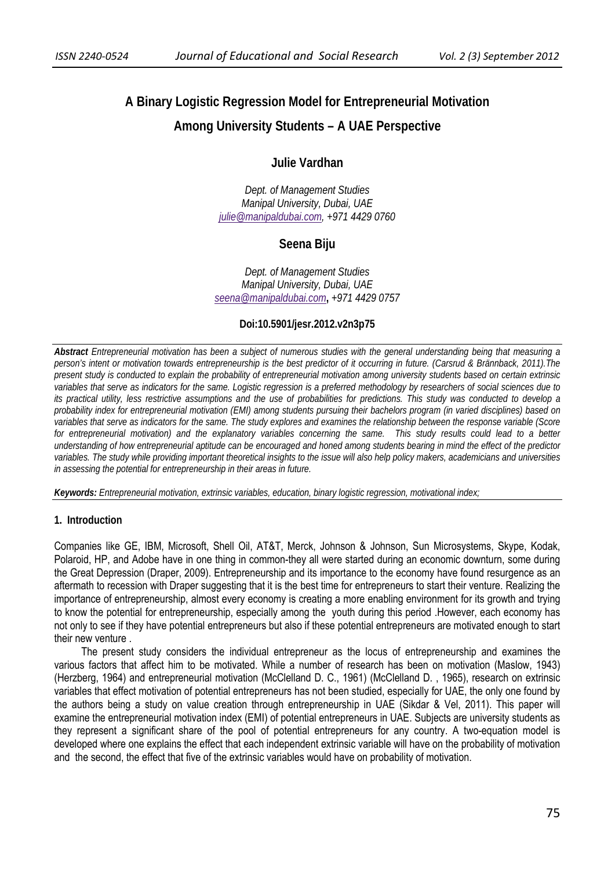# **A Binary Logistic Regression Model for Entrepreneurial Motivation Among University Students – A UAE Perspective**

# **Julie Vardhan**

*Dept. of Management Studies Manipal University, Dubai, UAE julie@manipaldubai.com, +971 4429 0760* 

# **Seena Biju**

*Dept. of Management Studies Manipal University, Dubai, UAE seena@manipaldubai.com***,** *+971 4429 0757*

## **Doi:10.5901/jesr.2012.v2n3p75**

*Abstract Entrepreneurial motivation has been a subject of numerous studies with the general understanding being that measuring a person's intent or motivation towards entrepreneurship is the best predictor of it occurring in future. (Carsrud & Brännback, 2011).The present study is conducted to explain the probability of entrepreneurial motivation among university students based on certain extrinsic variables that serve as indicators for the same. Logistic regression is a preferred methodology by researchers of social sciences due to its practical utility, less restrictive assumptions and the use of probabilities for predictions. This study was conducted to develop a probability index for entrepreneurial motivation (EMI) among students pursuing their bachelors program (in varied disciplines) based on variables that serve as indicators for the same. The study explores and examines the relationship between the response variable (Score for entrepreneurial motivation) and the explanatory variables concerning the same. This study results could lead to a better understanding of how entrepreneurial aptitude can be encouraged and honed among students bearing in mind the effect of the predictor variables. The study while providing important theoretical insights to the issue will also help policy makers, academicians and universities in assessing the potential for entrepreneurship in their areas in future.* 

*Keywords: Entrepreneurial motivation, extrinsic variables, education, binary logistic regression, motivational index;* 

#### **1. Introduction**

Companies like GE, IBM, Microsoft, Shell Oil, AT&T, Merck, Johnson & Johnson, Sun Microsystems, Skype, Kodak, Polaroid, HP, and Adobe have in one thing in common-they all were started during an economic downturn, some during the Great Depression (Draper, 2009). Entrepreneurship and its importance to the economy have found resurgence as an aftermath to recession with Draper suggesting that it is the best time for entrepreneurs to start their venture. Realizing the importance of entrepreneurship, almost every economy is creating a more enabling environment for its growth and trying to know the potential for entrepreneurship, especially among the youth during this period .However, each economy has not only to see if they have potential entrepreneurs but also if these potential entrepreneurs are motivated enough to start their new venture .

The present study considers the individual entrepreneur as the locus of entrepreneurship and examines the various factors that affect him to be motivated. While a number of research has been on motivation (Maslow, 1943) (Herzberg, 1964) and entrepreneurial motivation (McClelland D. C., 1961) (McClelland D. , 1965), research on extrinsic variables that effect motivation of potential entrepreneurs has not been studied, especially for UAE, the only one found by the authors being a study on value creation through entrepreneurship in UAE (Sikdar & Vel, 2011). This paper will examine the entrepreneurial motivation index (EMI) of potential entrepreneurs in UAE. Subjects are university students as they represent a significant share of the pool of potential entrepreneurs for any country. A two-equation model is developed where one explains the effect that each independent extrinsic variable will have on the probability of motivation and the second, the effect that five of the extrinsic variables would have on probability of motivation.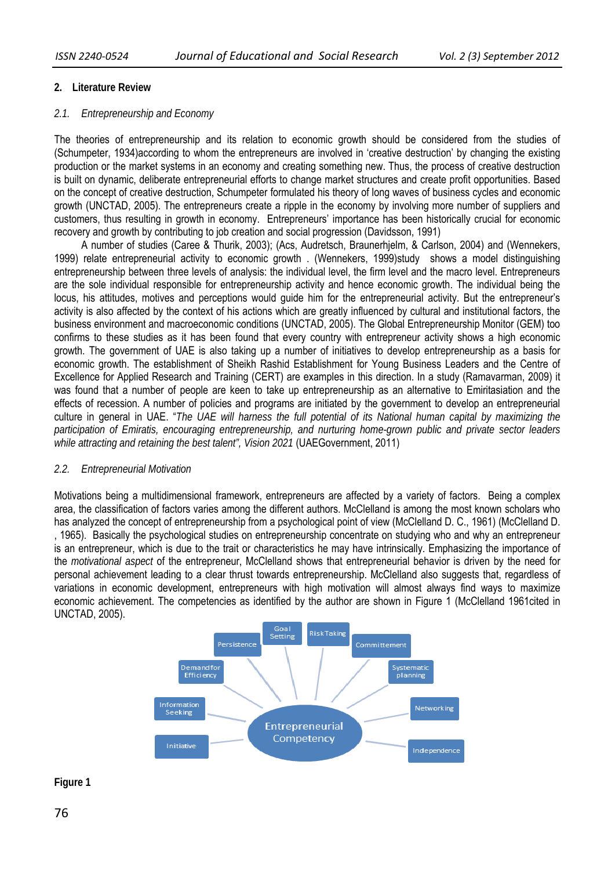## **2. Literature Review**

### *2.1. Entrepreneurship and Economy*

The theories of entrepreneurship and its relation to economic growth should be considered from the studies of (Schumpeter, 1934)according to whom the entrepreneurs are involved in 'creative destruction' by changing the existing production or the market systems in an economy and creating something new. Thus, the process of creative destruction is built on dynamic, deliberate entrepreneurial efforts to change market structures and create profit opportunities. Based on the concept of creative destruction, Schumpeter formulated his theory of long waves of business cycles and economic growth (UNCTAD, 2005). The entrepreneurs create a ripple in the economy by involving more number of suppliers and customers, thus resulting in growth in economy. Entrepreneurs' importance has been historically crucial for economic recovery and growth by contributing to job creation and social progression (Davidsson, 1991)

A number of studies (Caree & Thurik, 2003); (Acs, Audretsch, Braunerhjelm, & Carlson, 2004) and (Wennekers, 1999) relate entrepreneurial activity to economic growth . (Wennekers, 1999)study shows a model distinguishing entrepreneurship between three levels of analysis: the individual level, the firm level and the macro level. Entrepreneurs are the sole individual responsible for entrepreneurship activity and hence economic growth. The individual being the locus, his attitudes, motives and perceptions would guide him for the entrepreneurial activity. But the entrepreneur's activity is also affected by the context of his actions which are greatly influenced by cultural and institutional factors, the business environment and macroeconomic conditions (UNCTAD, 2005). The Global Entrepreneurship Monitor (GEM) too confirms to these studies as it has been found that every country with entrepreneur activity shows a high economic growth. The government of UAE is also taking up a number of initiatives to develop entrepreneurship as a basis for economic growth. The establishment of Sheikh Rashid Establishment for Young Business Leaders and the Centre of Excellence for Applied Research and Training (CERT) are examples in this direction. In a study (Ramavarman, 2009) it was found that a number of people are keen to take up entrepreneurship as an alternative to Emiritasiation and the effects of recession. A number of policies and programs are initiated by the government to develop an entrepreneurial culture in general in UAE. "*The UAE will harness the full potential of its National human capital by maximizing the participation of Emiratis, encouraging entrepreneurship, and nurturing home-grown public and private sector leaders while attracting and retaining the best talent", Vision 2021* (UAEGovernment, 2011)

#### *2.2. Entrepreneurial Motivation*

Motivations being a multidimensional framework, entrepreneurs are affected by a variety of factors. Being a complex area, the classification of factors varies among the different authors. McClelland is among the most known scholars who has analyzed the concept of entrepreneurship from a psychological point of view (McClelland D. C., 1961) (McClelland D. , 1965). Basically the psychological studies on entrepreneurship concentrate on studying who and why an entrepreneur is an entrepreneur, which is due to the trait or characteristics he may have intrinsically. Emphasizing the importance of the *motivational aspect* of the entrepreneur, McClelland shows that entrepreneurial behavior is driven by the need for personal achievement leading to a clear thrust towards entrepreneurship. McClelland also suggests that, regardless of variations in economic development, entrepreneurs with high motivation will almost always find ways to maximize economic achievement. The competencies as identified by the author are shown in Figure 1 (McClelland 1961cited in UNCTAD, 2005).



# **Figure 1**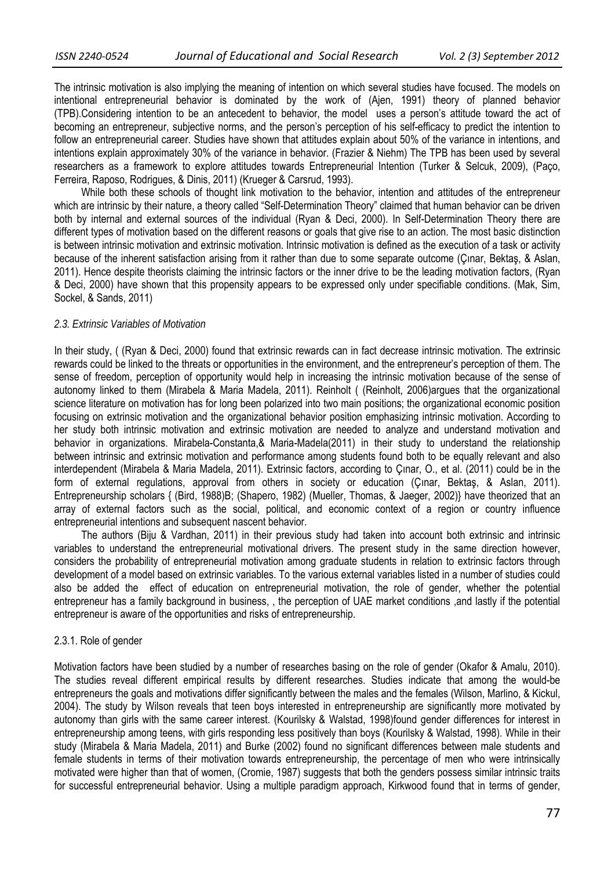The intrinsic motivation is also implying the meaning of intention on which several studies have focused. The models on intentional entrepreneurial behavior is dominated by the work of (Ajen, 1991) theory of planned behavior (TPB).Considering intention to be an antecedent to behavior, the model uses a person's attitude toward the act of becoming an entrepreneur, subjective norms, and the person's perception of his self-efficacy to predict the intention to follow an entrepreneurial career. Studies have shown that attitudes explain about 50% of the variance in intentions, and intentions explain approximately 30% of the variance in behavior. (Frazier & Niehm) The TPB has been used by several researchers as a framework to explore attitudes towards Entrepreneurial Intention (Turker & Selcuk, 2009), (Paço, Ferreira, Raposo, Rodrigues, & Dinis, 2011) (Krueger & Carsrud, 1993).

While both these schools of thought link motivation to the behavior, intention and attitudes of the entrepreneur which are intrinsic by their nature, a theory called "Self-Determination Theory" claimed that human behavior can be driven both by internal and external sources of the individual (Ryan & Deci, 2000). In Self-Determination Theory there are different types of motivation based on the different reasons or goals that give rise to an action. The most basic distinction is between intrinsic motivation and extrinsic motivation. Intrinsic motivation is defined as the execution of a task or activity because of the inherent satisfaction arising from it rather than due to some separate outcome (Çınar, Bektaş, & Aslan, 2011). Hence despite theorists claiming the intrinsic factors or the inner drive to be the leading motivation factors, (Ryan & Deci, 2000) have shown that this propensity appears to be expressed only under specifiable conditions. (Mak, Sim, Sockel, & Sands, 2011)

#### *2.3. Extrinsic Variables of Motivation*

In their study, ( (Ryan & Deci, 2000) found that extrinsic rewards can in fact decrease intrinsic motivation. The extrinsic rewards could be linked to the threats or opportunities in the environment, and the entrepreneur's perception of them. The sense of freedom, perception of opportunity would help in increasing the intrinsic motivation because of the sense of autonomy linked to them (Mirabela & Maria Madela, 2011). Reinholt ( (Reinholt, 2006)argues that the organizational science literature on motivation has for long been polarized into two main positions; the organizational economic position focusing on extrinsic motivation and the organizational behavior position emphasizing intrinsic motivation. According to her study both intrinsic motivation and extrinsic motivation are needed to analyze and understand motivation and behavior in organizations. Mirabela-Constanta,& Maria-Madela(2011) in their study to understand the relationship between intrinsic and extrinsic motivation and performance among students found both to be equally relevant and also interdependent (Mirabela & Maria Madela, 2011). Extrinsic factors, according to Çınar, O., et al. (2011) could be in the form of external regulations, approval from others in society or education (Çınar, Bektaş, & Aslan, 2011). Entrepreneurship scholars { (Bird, 1988)B; (Shapero, 1982) (Mueller, Thomas, & Jaeger, 2002)} have theorized that an array of external factors such as the social, political, and economic context of a region or country influence entrepreneurial intentions and subsequent nascent behavior.

The authors (Biju & Vardhan, 2011) in their previous study had taken into account both extrinsic and intrinsic variables to understand the entrepreneurial motivational drivers. The present study in the same direction however, considers the probability of entrepreneurial motivation among graduate students in relation to extrinsic factors through development of a model based on extrinsic variables. To the various external variables listed in a number of studies could also be added the effect of education on entrepreneurial motivation, the role of gender, whether the potential entrepreneur has a family background in business, , the perception of UAE market conditions ,and lastly if the potential entrepreneur is aware of the opportunities and risks of entrepreneurship.

#### 2.3.1. Role of gender

Motivation factors have been studied by a number of researches basing on the role of gender (Okafor & Amalu, 2010). The studies reveal different empirical results by different researches. Studies indicate that among the would-be entrepreneurs the goals and motivations differ significantly between the males and the females (Wilson, Marlino, & Kickul, 2004). The study by Wilson reveals that teen boys interested in entrepreneurship are significantly more motivated by autonomy than girls with the same career interest. (Kourilsky & Walstad, 1998)found gender differences for interest in entrepreneurship among teens, with girls responding less positively than boys (Kourilsky & Walstad, 1998). While in their study (Mirabela & Maria Madela, 2011) and Burke (2002) found no significant differences between male students and female students in terms of their motivation towards entrepreneurship, the percentage of men who were intrinsically motivated were higher than that of women, (Cromie, 1987) suggests that both the genders possess similar intrinsic traits for successful entrepreneurial behavior. Using a multiple paradigm approach, Kirkwood found that in terms of gender,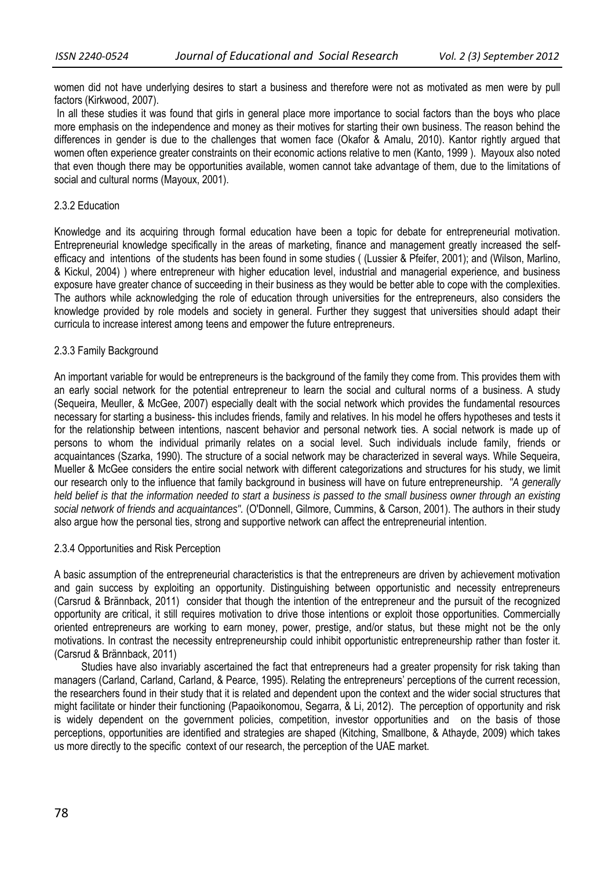women did not have underlying desires to start a business and therefore were not as motivated as men were by pull factors (Kirkwood, 2007).

 In all these studies it was found that girls in general place more importance to social factors than the boys who place more emphasis on the independence and money as their motives for starting their own business. The reason behind the differences in gender is due to the challenges that women face (Okafor & Amalu, 2010). Kantor rightly argued that women often experience greater constraints on their economic actions relative to men (Kanto, 1999 ). Mayoux also noted that even though there may be opportunities available, women cannot take advantage of them, due to the limitations of social and cultural norms (Mayoux, 2001).

#### 2.3.2 Education

Knowledge and its acquiring through formal education have been a topic for debate for entrepreneurial motivation. Entrepreneurial knowledge specifically in the areas of marketing, finance and management greatly increased the selfefficacy and intentions of the students has been found in some studies ( (Lussier & Pfeifer, 2001); and (Wilson, Marlino, & Kickul, 2004) ) where entrepreneur with higher education level, industrial and managerial experience, and business exposure have greater chance of succeeding in their business as they would be better able to cope with the complexities. The authors while acknowledging the role of education through universities for the entrepreneurs, also considers the knowledge provided by role models and society in general. Further they suggest that universities should adapt their curricula to increase interest among teens and empower the future entrepreneurs.

#### 2.3.3 Family Background

An important variable for would be entrepreneurs is the background of the family they come from. This provides them with an early social network for the potential entrepreneur to learn the social and cultural norms of a business. A study (Sequeira, Meuller, & McGee, 2007) especially dealt with the social network which provides the fundamental resources necessary for starting a business- this includes friends, family and relatives. In his model he offers hypotheses and tests it for the relationship between intentions, nascent behavior and personal network ties. A social network is made up of persons to whom the individual primarily relates on a social level. Such individuals include family, friends or acquaintances (Szarka, 1990). The structure of a social network may be characterized in several ways. While Sequeira, Mueller & McGee considers the entire social network with different categorizations and structures for his study, we limit our research only to the influence that family background in business will have on future entrepreneurship. *"A generally held belief is that the information needed to start a business is passed to the small business owner through an existing social network of friends and acquaintances".* (O'Donnell, Gilmore, Cummins, & Carson, 2001). The authors in their study also argue how the personal ties, strong and supportive network can affect the entrepreneurial intention.

#### 2.3.4 Opportunities and Risk Perception

A basic assumption of the entrepreneurial characteristics is that the entrepreneurs are driven by achievement motivation and gain success by exploiting an opportunity. Distinguishing between opportunistic and necessity entrepreneurs (Carsrud & Brännback, 2011) consider that though the intention of the entrepreneur and the pursuit of the recognized opportunity are critical, it still requires motivation to drive those intentions or exploit those opportunities. Commercially oriented entrepreneurs are working to earn money, power, prestige, and/or status, but these might not be the only motivations. In contrast the necessity entrepreneurship could inhibit opportunistic entrepreneurship rather than foster it. (Carsrud & Brännback, 2011)

Studies have also invariably ascertained the fact that entrepreneurs had a greater propensity for risk taking than managers (Carland, Carland, Carland, & Pearce, 1995). Relating the entrepreneurs' perceptions of the current recession, the researchers found in their study that it is related and dependent upon the context and the wider social structures that might facilitate or hinder their functioning (Papaoikonomou, Segarra, & Li, 2012). The perception of opportunity and risk is widely dependent on the government policies, competition, investor opportunities and on the basis of those perceptions, opportunities are identified and strategies are shaped (Kitching, Smallbone, & Athayde, 2009) which takes us more directly to the specific context of our research, the perception of the UAE market.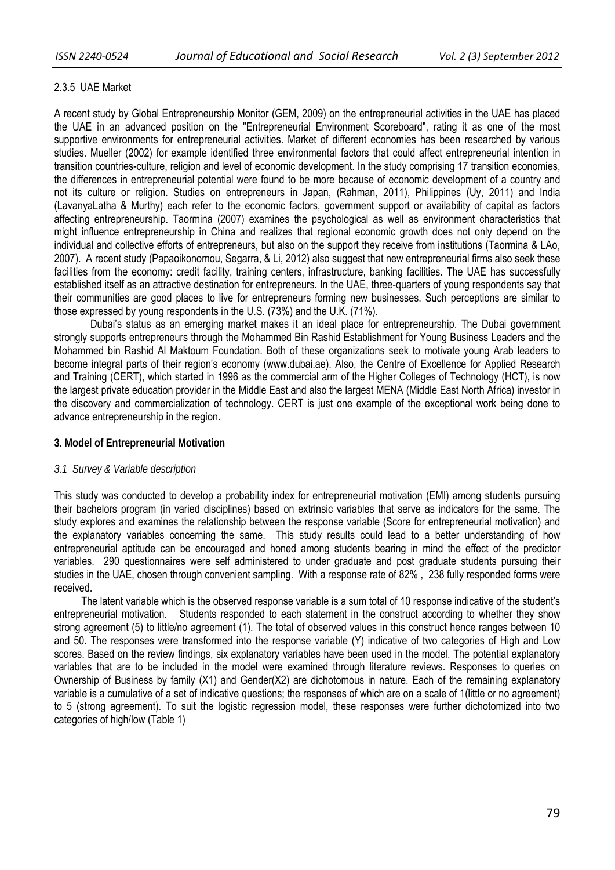## 2.3.5 UAE Market

A recent study by Global Entrepreneurship Monitor (GEM, 2009) on the entrepreneurial activities in the UAE has placed the UAE in an advanced position on the "Entrepreneurial Environment Scoreboard", rating it as one of the most supportive environments for entrepreneurial activities. Market of different economies has been researched by various studies. Mueller (2002) for example identified three environmental factors that could affect entrepreneurial intention in transition countries-culture, religion and level of economic development. In the study comprising 17 transition economies, the differences in entrepreneurial potential were found to be more because of economic development of a country and not its culture or religion. Studies on entrepreneurs in Japan, (Rahman, 2011), Philippines (Uy, 2011) and India (LavanyaLatha & Murthy) each refer to the economic factors, government support or availability of capital as factors affecting entrepreneurship. Taormina (2007) examines the psychological as well as environment characteristics that might influence entrepreneurship in China and realizes that regional economic growth does not only depend on the individual and collective efforts of entrepreneurs, but also on the support they receive from institutions (Taormina & LAo, 2007). A recent study (Papaoikonomou, Segarra, & Li, 2012) also suggest that new entrepreneurial firms also seek these facilities from the economy: credit facility, training centers, infrastructure, banking facilities. The UAE has successfully established itself as an attractive destination for entrepreneurs. In the UAE, three-quarters of young respondents say that their communities are good places to live for entrepreneurs forming new businesses. Such perceptions are similar to those expressed by young respondents in the U.S. (73%) and the U.K. (71%).

Dubai's status as an emerging market makes it an ideal place for entrepreneurship. The Dubai government strongly supports entrepreneurs through the Mohammed Bin Rashid Establishment for Young Business Leaders and the Mohammed bin Rashid Al Maktoum Foundation. Both of these organizations seek to motivate young Arab leaders to become integral parts of their region's economy (www.dubai.ae). Also, the Centre of Excellence for Applied Research and Training (CERT), which started in 1996 as the commercial arm of the Higher Colleges of Technology (HCT), is now the largest private education provider in the Middle East and also the largest MENA (Middle East North Africa) investor in the discovery and commercialization of technology. CERT is just one example of the exceptional work being done to advance entrepreneurship in the region.

#### **3. Model of Entrepreneurial Motivation**

#### *3.1 Survey & Variable description*

This study was conducted to develop a probability index for entrepreneurial motivation (EMI) among students pursuing their bachelors program (in varied disciplines) based on extrinsic variables that serve as indicators for the same. The study explores and examines the relationship between the response variable (Score for entrepreneurial motivation) and the explanatory variables concerning the same. This study results could lead to a better understanding of how entrepreneurial aptitude can be encouraged and honed among students bearing in mind the effect of the predictor variables. 290 questionnaires were self administered to under graduate and post graduate students pursuing their studies in the UAE, chosen through convenient sampling. With a response rate of 82% , 238 fully responded forms were received.

The latent variable which is the observed response variable is a sum total of 10 response indicative of the student's entrepreneurial motivation. Students responded to each statement in the construct according to whether they show strong agreement (5) to little/no agreement (1). The total of observed values in this construct hence ranges between 10 and 50. The responses were transformed into the response variable (Y) indicative of two categories of High and Low scores. Based on the review findings, six explanatory variables have been used in the model. The potential explanatory variables that are to be included in the model were examined through literature reviews. Responses to queries on Ownership of Business by family (X1) and Gender(X2) are dichotomous in nature. Each of the remaining explanatory variable is a cumulative of a set of indicative questions; the responses of which are on a scale of 1(little or no agreement) to 5 (strong agreement). To suit the logistic regression model, these responses were further dichotomized into two categories of high/low (Table 1)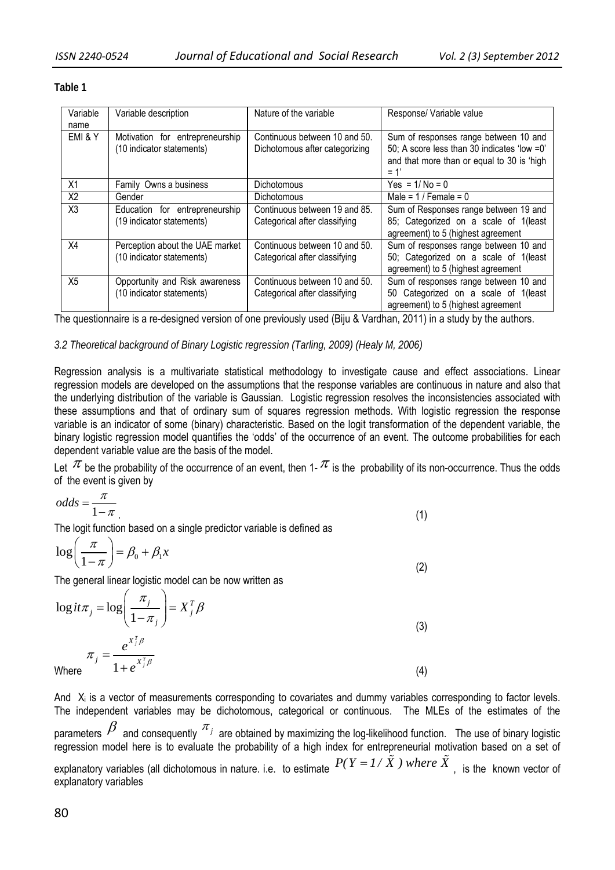| Variable<br>name | Variable description                                         | Nature of the variable                                          | Response/ Variable value                                                                                                                     |
|------------------|--------------------------------------------------------------|-----------------------------------------------------------------|----------------------------------------------------------------------------------------------------------------------------------------------|
| EMI & Y          | Motivation for entrepreneurship<br>(10 indicator statements) | Continuous between 10 and 50.<br>Dichotomous after categorizing | Sum of responses range between 10 and<br>50; A score less than 30 indicates 'low =0'<br>and that more than or equal to 30 is 'high<br>$= 1'$ |
| X1               | Family Owns a business                                       | Dichotomous                                                     | $Yes = 1/No = 0$                                                                                                                             |
| X <sub>2</sub>   | Gender                                                       | <b>Dichotomous</b>                                              | Male = $1/$ Female = 0                                                                                                                       |
| X3               | Education for entrepreneurship<br>(19 indicator statements)  | Continuous between 19 and 85.<br>Categorical after classifying  | Sum of Responses range between 19 and<br>85; Categorized on a scale of 1(least<br>agreement) to 5 (highest agreement                         |
| X4               | Perception about the UAE market<br>(10 indicator statements) | Continuous between 10 and 50.<br>Categorical after classifying  | Sum of responses range between 10 and<br>50; Categorized on a scale of 1(least<br>agreement) to 5 (highest agreement                         |
| X <sub>5</sub>   | Opportunity and Risk awareness<br>(10 indicator statements)  | Continuous between 10 and 50.<br>Categorical after classifying  | Sum of responses range between 10 and<br>50 Categorized on a scale of 1(least<br>agreement) to 5 (highest agreement                          |

## **Table 1**

The questionnaire is a re-designed version of one previously used (Biju & Vardhan, 2011) in a study by the authors.

# *3.2 Theoretical background of Binary Logistic regression (Tarling, 2009) (Healy M, 2006)*

Regression analysis is a multivariate statistical methodology to investigate cause and effect associations. Linear regression models are developed on the assumptions that the response variables are continuous in nature and also that the underlying distribution of the variable is Gaussian. Logistic regression resolves the inconsistencies associated with these assumptions and that of ordinary sum of squares regression methods. With logistic regression the response variable is an indicator of some (binary) characteristic. Based on the logit transformation of the dependent variable, the binary logistic regression model quantifies the 'odds' of the occurrence of an event. The outcome probabilities for each dependent variable value are the basis of the model.

Let  $\pi$  be the probability of the occurrence of an event, then 1-  $\pi$  is the probability of its non-occurrence. Thus the odds of the event is given by

$$
odds = \frac{\pi}{1 - \pi} \tag{1}
$$

The logit function based on a single predictor variable is defined as

$$
\log\left(\frac{\pi}{1-\pi}\right) = \beta_0 + \beta_1 x \tag{2}
$$

The general linear logistic model can be now written as

$$
\log it\pi_j = \log\left(\frac{\pi_j}{1 - \pi_j}\right) = X_j^T \beta
$$
\n
$$
\pi_j = \frac{e^{X_j^T \beta}}{1 + e^{X_j^T \beta}}
$$
\n(3)\n
$$
(3)
$$
\nWhere

And  $X_i$  is a vector of measurements corresponding to covariates and dummy variables corresponding to factor levels. The independent variables may be dichotomous, categorical or continuous. The MLEs of the estimates of the parameters  $\beta$  and consequently  $^{\pi_j}$  are obtained by maximizing the log-likelihood function. The use of binary logistic regression model here is to evaluate the probability of a high index for entrepreneurial motivation based on a set of explanatory variables (all dichotomous in nature. i.e. to estimate  $P(Y = I / \tilde{X})$  where  $\tilde{X}$ , is the known vector of explanatory variables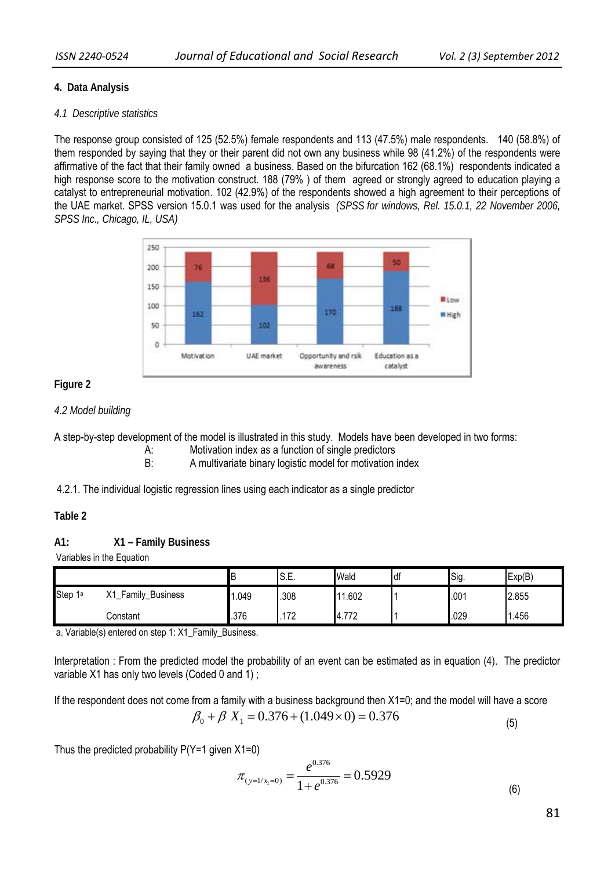## **4. Data Analysis**

#### *4.1 Descriptive statistics*

The response group consisted of 125 (52.5%) female respondents and 113 (47.5%) male respondents. 140 (58.8%) of them responded by saying that they or their parent did not own any business while 98 (41.2%) of the respondents were affirmative of the fact that their family owned a business. Based on the bifurcation 162 (68.1%) respondents indicated a high response score to the motivation construct. 188 (79%) of them agreed or strongly agreed to education playing a catalyst to entrepreneurial motivation. 102 (42.9%) of the respondents showed a high agreement to their perceptions of the UAE market. SPSS version 15.0.1 was used for the analysis *(SPSS for windows, Rel. 15.0.1, 22 November 2006, SPSS Inc., Chicago, IL, USA)* 



## **Figure 2**

## *4.2 Model building*

A step-by-step development of the model is illustrated in this study. Models have been developed in two forms:

A: Motivation index as a function of single predictors

B: A multivariate binary logistic model for motivation index

4.2.1. The individual logistic regression lines using each indicator as a single predictor

# **Table 2**

#### **A1: X1 – Family Business**

Variables in the Equation

|                   |                                      | D     | le E<br>IO.E.          | Wald         | ldf | Sig. | Exp(B) |
|-------------------|--------------------------------------|-------|------------------------|--------------|-----|------|--------|
| <b>Step</b><br>1а | Х1<br>Family<br><b>Business</b><br>– | 1.049 | .308                   | .602         |     | .001 | 2.855  |
|                   | Constant                             | .376  | 170<br>11 <sup>2</sup> | 772<br>4.112 |     | .029 | .456   |

a. Variable(s) entered on step 1: X1\_Family\_Business.

Interpretation : From the predicted model the probability of an event can be estimated as in equation (4). The predictor variable X1 has only two levels (Coded 0 and 1) ;

If the respondent does not come from a family with a business background then X1=0; and the model will have a score

$$
\beta_0 + \beta X_1 = 0.376 + (1.049 \times 0) = 0.376
$$
\n<sup>(5)</sup>

Thus the predicted probability  $P(Y=1)$  given  $X1=0$ )

$$
\pi_{\left(y=1/x_1=0\right)} = \frac{e^{0.376}}{1+e^{0.376}} = 0.5929\tag{6}
$$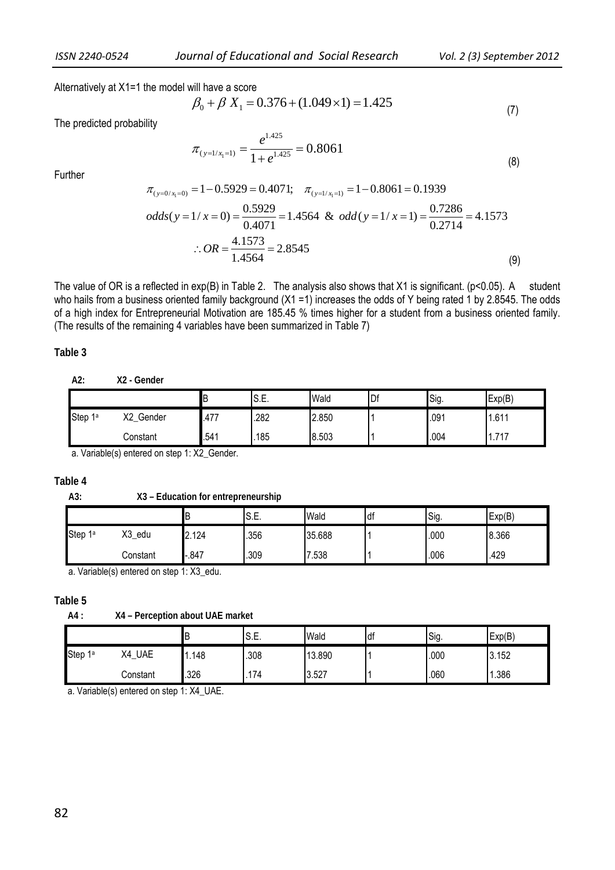Alternatively at X1=1 the model will have a score

$$
\beta_0 + \beta X_1 = 0.376 + (1.049 \times 1) = 1.425
$$
\n(7)

The predicted probability

$$
\pi_{(y=1/x_1=1)} = \frac{e^{1.425}}{1+e^{1.425}} = 0.8061
$$
\n(8)

Further

$$
\pi_{(y=0/x_i=0)} = 1 - 0.5929 = 0.4071; \quad \pi_{(y=1/x_i=1)} = 1 - 0.8061 = 0.1939
$$
  
odds(y = 1/x = 0) =  $\frac{0.5929}{0.4071} = 1.4564$  &  $odd(y = 1/x = 1) = \frac{0.7286}{0.2714} = 4.1573$   

$$
\therefore OR = \frac{4.1573}{1.4564} = 2.8545
$$
 (9)

The value of OR is a reflected in  $exp(B)$  in Table 2. The analysis also shows that X1 is significant. ( $p<0.05$ ). A student who hails from a business oriented family background (X1 = 1) increases the odds of Y being rated 1 by 2.8545. The odds of a high index for Entrepreneurial Motivation are 185.45 % times higher for a student from a business oriented family. (The results of the remaining 4 variables have been summarized in Table 7)

#### **Table 3**

|         |                         | ∟    | IS.E. | Wald  | Df | Sig. | Exp(B)   |
|---------|-------------------------|------|-------|-------|----|------|----------|
| Step 1ª | v٥<br>Gender<br>∼∠<br>_ | .477 | .282  | 2.850 |    | .091 | .611     |
|         | Constant                | .541 | .185  | 8.503 |    | .004 | 747<br>. |

a. Variable(s) entered on step 1: X2\_Gender.

#### **Table 4**

**A3: X3 – Education for entrepreneurship** 

|                     |           |        | S.E. | Wald      | df | Sig. | Exp(B) |
|---------------------|-----------|--------|------|-----------|----|------|--------|
| Step 1 <sup>a</sup> | X3<br>edu | 2.124  | .356 | 35.688    |    | .000 | 8.366  |
|                     | Constant  | $-847$ | .309 | .538<br>⇁ |    | .006 | .429   |

a. Variable(s) entered on step 1: X3\_edu.

#### **Table 5**

**A4 : X4 – Perception about UAE market** 

|                   |                  | D   | ◡.∟. | Wald   | df | Sig. | Exp(B) |
|-------------------|------------------|-----|------|--------|----|------|--------|
| <b>Step</b><br>1a | <b>UAE</b><br>X4 | 148 | .308 | 13.890 |    | .000 | 3.152  |
|                   | Constant         | 326 | 74   | 3.527  |    | .060 | .386   |

a. Variable(s) entered on step 1: X4\_UAE.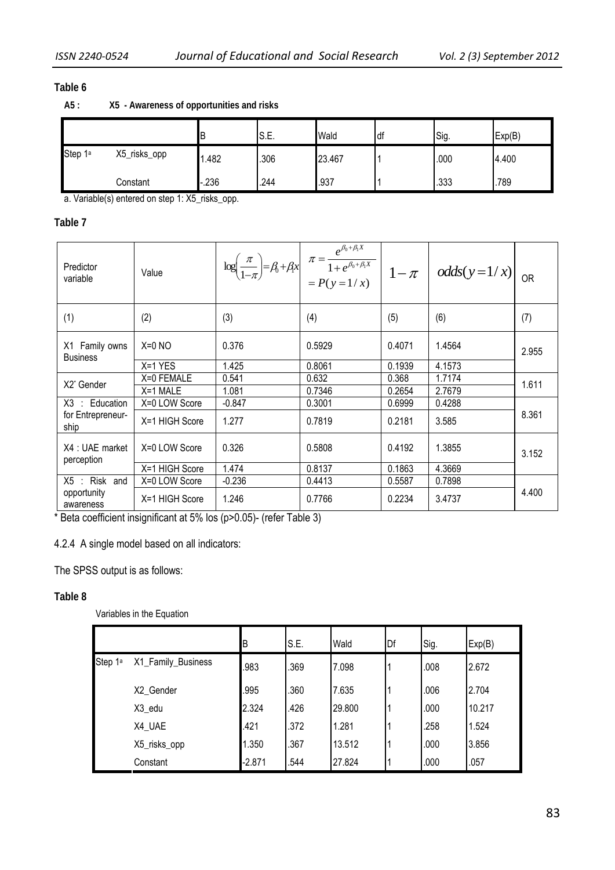# **Table 6**

|         |              |        | S.E. | Wald   | ldf | ISig. | Exp(B) |
|---------|--------------|--------|------|--------|-----|-------|--------|
| Step 1ª | X5_risks_opp | 1.482  | .306 | 23.467 |     | .000  | 4.400  |
|         | Constant     | $-236$ | .244 | .937   |     | .333  | .789   |

**A5 : X5 - Awareness of opportunities and risks** 

a. Variable(s) entered on step 1: X5\_risks\_opp.

# **Table 7**

| Predictor<br>variable             | Value          |          |        |        | $\log\left(\frac{\pi}{1-\pi}\right) = \beta_0 + \beta_1 x \left[ \pi = \frac{e^{\beta_0 + \beta_1 x}}{1 + e^{\beta_0 + \beta_1 x}} \right] \left[ \pi - \pi \right] \text{odds}(y=1/x)$ | <b>OR</b> |  |
|-----------------------------------|----------------|----------|--------|--------|-----------------------------------------------------------------------------------------------------------------------------------------------------------------------------------------|-----------|--|
| (1)                               | (2)            | (3)      | (4)    | (5)    | (6)                                                                                                                                                                                     | (7)       |  |
| X1 Family owns<br><b>Business</b> | $X=0$ NO       | 0.376    | 0.5929 | 0.4071 | 1.4564                                                                                                                                                                                  | 2.955     |  |
|                                   | $X=1$ YES      | 1.425    | 0.8061 | 0.1939 | 4.1573                                                                                                                                                                                  |           |  |
| X2* Gender                        | X=0 FEMALE     | 0.541    | 0.632  | 0.368  | 1.7174                                                                                                                                                                                  | 1.611     |  |
|                                   | $X=1$ MALE     | 1.081    | 0.7346 | 0.2654 | 2.7679                                                                                                                                                                                  |           |  |
| $X3$ : Education                  | X=0 LOW Score  | $-0.847$ | 0.3001 | 0.6999 | 0.4288                                                                                                                                                                                  |           |  |
| for Entrepreneur-<br>ship         | X=1 HIGH Score | 1.277    | 0.7819 | 0.2181 | 3.585                                                                                                                                                                                   | 8.361     |  |
| X4 : UAE market<br>perception     | X=0 LOW Score  | 0.326    | 0.5808 | 0.4192 | 1.3855                                                                                                                                                                                  | 3.152     |  |
|                                   | X=1 HIGH Score | 1.474    | 0.8137 | 0.1863 | 4.3669                                                                                                                                                                                  |           |  |
| $X5$ : Risk and                   | X=0 LOW Score  | $-0.236$ | 0.4413 | 0.5587 | 0.7898                                                                                                                                                                                  |           |  |
| opportunity<br>awareness          | X=1 HIGH Score | 1.246    | 0.7766 | 0.2234 | 3.4737                                                                                                                                                                                  | 4.400     |  |

\* Beta coefficient insignificant at 5% los (p>0.05)- (refer Table 3)

## 4.2.4 A single model based on all indicators:

The SPSS output is as follows:

# **Table 8**

Variables in the Equation

|         |                    | B        | S.E. | Wald   | Df | Sig. | Exp(B) |
|---------|--------------------|----------|------|--------|----|------|--------|
| Step 1ª | X1_Family_Business | .983     | .369 | 7.098  |    | .008 | 2.672  |
|         | X2_Gender          | .995     | .360 | 7.635  |    | .006 | 2.704  |
|         | X3_edu             | 2.324    | .426 | 29.800 |    | .000 | 10.217 |
|         | X4_UAE             | .421     | .372 | 1.281  |    | .258 | 1.524  |
|         | X5_risks_opp       | 1.350    | .367 | 13.512 |    | .000 | 3.856  |
|         | Constant           | $-2.871$ | .544 | 27.824 |    | .000 | .057   |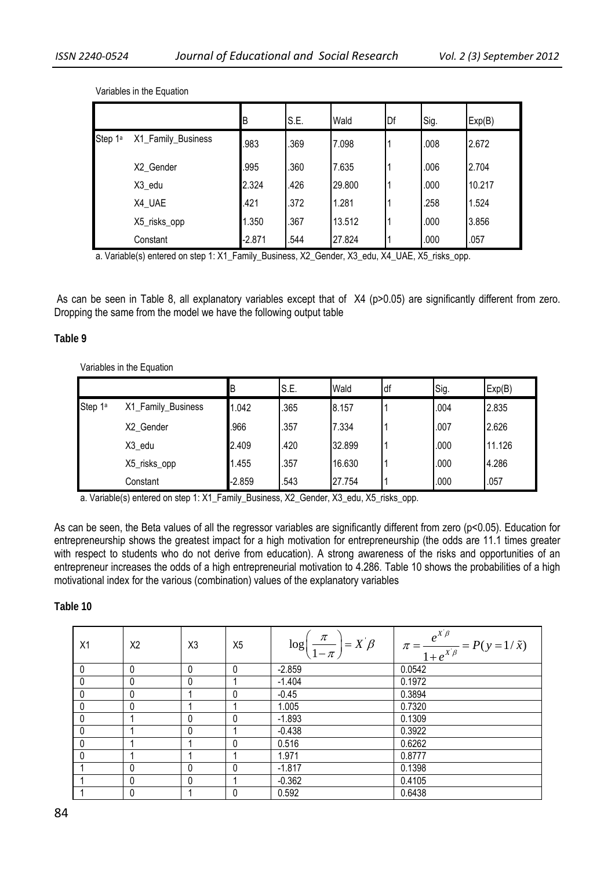|         |                    | ΙB       | S.E. | Wald   | Df | Sig. | Exp(B) |
|---------|--------------------|----------|------|--------|----|------|--------|
| Step 1ª | X1_Family_Business | .983     | .369 | 7.098  |    | .008 | 2.672  |
|         | X2_Gender          | .995     | .360 | 7.635  |    | .006 | 2.704  |
|         | X3_edu             | 2.324    | .426 | 29.800 |    | .000 | 10.217 |
|         | X4_UAE             | .421     | .372 | 1.281  |    | .258 | 1.524  |
|         | X5_risks_opp       | 1.350    | .367 | 13.512 |    | .000 | 3.856  |
|         | Constant           | $-2.871$ | .544 | 27.824 |    | .000 | .057   |

Variables in the Equation

a. Variable(s) entered on step 1: X1\_Family\_Business, X2\_Gender, X3\_edu, X4\_UAE, X5\_risks\_opp.

As can be seen in Table 8, all explanatory variables except that of X4 (p>0.05) are significantly different from zero. Dropping the same from the model we have the following output table

#### **Table 9**

#### Variables in the Equation

|         |                    | ΈB       | S.E. | Wald   | Idf | Sig. | Exp(B) |
|---------|--------------------|----------|------|--------|-----|------|--------|
| Step 1ª | X1_Family_Business | 1.042    | .365 | 8.157  |     | .004 | 2.835  |
|         | X2 Gender          | .966     | .357 | 7.334  |     | .007 | 2.626  |
|         | X3_edu             | 2.409    | .420 | 32.899 |     | .000 | 11.126 |
|         | X5_risks_opp       | 1.455    | .357 | 16.630 |     | .000 | 4.286  |
|         | Constant           | $-2.859$ | .543 | 27.754 |     | .000 | .057   |

a. Variable(s) entered on step 1: X1\_Family\_Business, X2\_Gender, X3\_edu, X5\_risks\_opp.

As can be seen, the Beta values of all the regressor variables are significantly different from zero (p<0.05). Education for entrepreneurship shows the greatest impact for a high motivation for entrepreneurship (the odds are 11.1 times greater with respect to students who do not derive from education). A strong awareness of the risks and opportunities of an entrepreneur increases the odds of a high entrepreneurial motivation to 4.286. Table 10 shows the probabilities of a high motivational index for the various (combination) values of the explanatory variables

#### **Table 10**

| X1           | X2           | X <sub>3</sub> | X <sub>5</sub> | $\log\left(\frac{\pi}{1-\pi}\right) = X \beta$ | $\pi = \frac{e^{x^2/3}}{1+e^{x^2/3}} = P(y=1/\tilde{x})$ |
|--------------|--------------|----------------|----------------|------------------------------------------------|----------------------------------------------------------|
| 0            | 0            | 0              | 0              | $-2.859$                                       | 0.0542                                                   |
| $\mathbf{0}$ | 0            | 0              |                | $-1.404$                                       | 0.1972                                                   |
| $\mathbf{0}$ | $\mathbf{0}$ |                | 0              | $-0.45$                                        | 0.3894                                                   |
| $\mathbf{0}$ | 0            |                |                | 1.005                                          | 0.7320                                                   |
| $\mathbf{0}$ |              | 0              | 0              | $-1.893$                                       | 0.1309                                                   |
| $\mathbf{0}$ |              | 0              |                | $-0.438$                                       | 0.3922                                                   |
| 0            |              |                | 0              | 0.516                                          | 0.6262                                                   |
| $\Omega$     |              |                |                | 1.971                                          | 0.8777                                                   |
|              | $\Omega$     | 0              | $\Omega$       | $-1.817$                                       | 0.1398                                                   |
|              | 0            | 0              |                | $-0.362$                                       | 0.4105                                                   |
|              | 0            |                | 0              | 0.592                                          | 0.6438                                                   |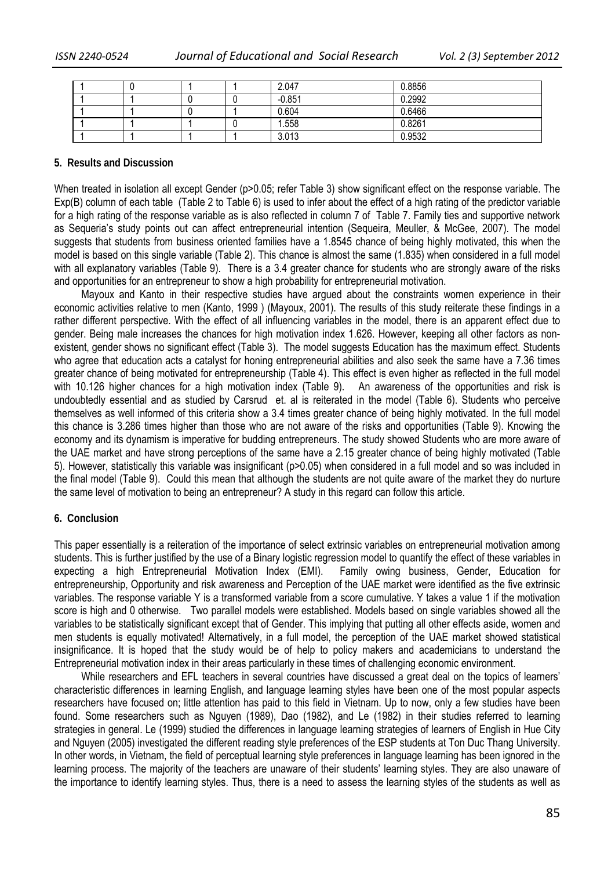|  |  | 2.047    | 0.8856 |
|--|--|----------|--------|
|  |  | $-0.851$ | 0.2992 |
|  |  | 0.604    | 0.6466 |
|  |  | 1.558    | 0.8261 |
|  |  | 3.013    | 0.9532 |

#### **5. Results and Discussion**

When treated in isolation all except Gender (p>0.05; refer Table 3) show significant effect on the response variable. The Exp(B) column of each table (Table 2 to Table 6) is used to infer about the effect of a high rating of the predictor variable for a high rating of the response variable as is also reflected in column 7 of Table 7. Family ties and supportive network as Sequeria's study points out can affect entrepreneurial intention (Sequeira, Meuller, & McGee, 2007). The model suggests that students from business oriented families have a 1.8545 chance of being highly motivated, this when the model is based on this single variable (Table 2). This chance is almost the same (1.835) when considered in a full model with all explanatory variables (Table 9). There is a 3.4 greater chance for students who are strongly aware of the risks and opportunities for an entrepreneur to show a high probability for entrepreneurial motivation.

Mayoux and Kanto in their respective studies have argued about the constraints women experience in their economic activities relative to men (Kanto, 1999 ) (Mayoux, 2001). The results of this study reiterate these findings in a rather different perspective. With the effect of all influencing variables in the model, there is an apparent effect due to gender. Being male increases the chances for high motivation index 1.626. However, keeping all other factors as nonexistent, gender shows no significant effect (Table 3). The model suggests Education has the maximum effect. Students who agree that education acts a catalyst for honing entrepreneurial abilities and also seek the same have a 7.36 times greater chance of being motivated for entrepreneurship (Table 4). This effect is even higher as reflected in the full model with 10.126 higher chances for a high motivation index (Table 9). An awareness of the opportunities and risk is undoubtedly essential and as studied by Carsrud et. al is reiterated in the model (Table 6). Students who perceive themselves as well informed of this criteria show a 3.4 times greater chance of being highly motivated. In the full model this chance is 3.286 times higher than those who are not aware of the risks and opportunities (Table 9). Knowing the economy and its dynamism is imperative for budding entrepreneurs. The study showed Students who are more aware of the UAE market and have strong perceptions of the same have a 2.15 greater chance of being highly motivated (Table 5). However, statistically this variable was insignificant (p>0.05) when considered in a full model and so was included in the final model (Table 9). Could this mean that although the students are not quite aware of the market they do nurture the same level of motivation to being an entrepreneur? A study in this regard can follow this article.

#### **6. Conclusion**

This paper essentially is a reiteration of the importance of select extrinsic variables on entrepreneurial motivation among students. This is further justified by the use of a Binary logistic regression model to quantify the effect of these variables in expecting a high Entrepreneurial Motivation Index (EMI). Family owing business, Gender, Education for entrepreneurship, Opportunity and risk awareness and Perception of the UAE market were identified as the five extrinsic variables. The response variable Y is a transformed variable from a score cumulative. Y takes a value 1 if the motivation score is high and 0 otherwise. Two parallel models were established. Models based on single variables showed all the variables to be statistically significant except that of Gender. This implying that putting all other effects aside, women and men students is equally motivated! Alternatively, in a full model, the perception of the UAE market showed statistical insignificance. It is hoped that the study would be of help to policy makers and academicians to understand the Entrepreneurial motivation index in their areas particularly in these times of challenging economic environment.

While researchers and EFL teachers in several countries have discussed a great deal on the topics of learners' characteristic differences in learning English, and language learning styles have been one of the most popular aspects researchers have focused on; little attention has paid to this field in Vietnam. Up to now, only a few studies have been found. Some researchers such as Nguyen (1989), Dao (1982), and Le (1982) in their studies referred to learning strategies in general. Le (1999) studied the differences in language learning strategies of learners of English in Hue City and Nguyen (2005) investigated the different reading style preferences of the ESP students at Ton Duc Thang University. In other words, in Vietnam, the field of perceptual learning style preferences in language learning has been ignored in the learning process. The majority of the teachers are unaware of their students' learning styles. They are also unaware of the importance to identify learning styles. Thus, there is a need to assess the learning styles of the students as well as